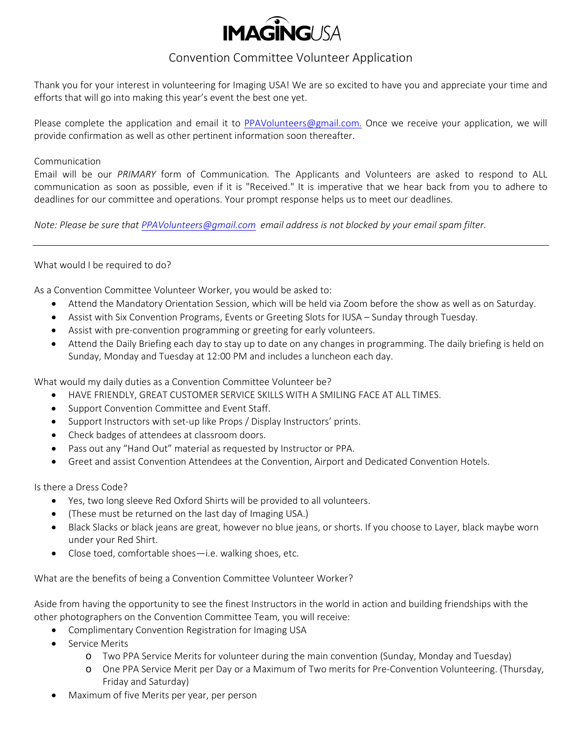

## Convention Committee Volunteer Application

Thank you for your interest in volunteering for Imaging USA! We are so excited to have you and appreciate your time and efforts that will go into making this year's event the best one yet.

Please complete the application and email it to [PPAVolunteers@gmail.com.](mailto:PPAVolunteers@gmail.com) Once we receive your application, we will provide confirmation as well as other pertinent information soon thereafter.

## Communication

Email will be our *PRIMARY* form of Communication*.* The Applicants and Volunteers are asked to respond to ALL communication as soon as possible, even if it is "Received." It is imperative that we hear back from you to adhere to deadlines for our committee and operations. Your prompt response helps us to meet our deadlines.

*Note: Please be sure tha[t PPAVolunteers@gmail.com](mailto:PPAVolunteers@gmail.com) email address is not blocked by your email spam filter.*

## What would I be required to do?

As a Convention Committee Volunteer Worker, you would be asked to:

- Attend the Mandatory Orientation Session, which will be held via Zoom before the show as well as on Saturday.
- Assist with Six Convention Programs, Events or Greeting Slots for IUSA Sunday through Tuesday.
- Assist with pre-convention programming or greeting for early volunteers.
- Attend the Daily Briefing each day to stay up to date on any changes in programming. The daily briefing is held on Sunday, Monday and Tuesday at 12:00 PM and includes a luncheon each day.

What would my daily duties as a Convention Committee Volunteer be?

- HAVE FRIENDLY, GREAT CUSTOMER SERVICE SKILLS WITH A SMILING FACE AT ALL TIMES.
- Support Convention Committee and Event Staff.
- Support Instructors with set-up like Props / Display Instructors' prints.
- Check badges of attendees at classroom doors.
- Pass out any "Hand Out" material as requested by Instructor or PPA.
- Greet and assist Convention Attendees at the Convention, Airport and Dedicated Convention Hotels.

Is there a Dress Code?

- Yes, two long sleeve Red Oxford Shirts will be provided to all volunteers.
- (These must be returned on the last day of Imaging USA.)
- Black Slacks or black jeans are great, however no blue jeans, or shorts. If you choose to Layer, black maybe worn under your Red Shirt.
- Close toed, comfortable shoes—i.e. walking shoes, etc.

What are the benefits of being a Convention Committee Volunteer Worker?

Aside from having the opportunity to see the finest Instructors in the world in action and building friendships with the other photographers on the Convention Committee Team, you will receive:

- Complimentary Convention Registration for Imaging USA
- Service Merits
	- o Two PPA Service Merits for volunteer during the main convention (Sunday, Monday and Tuesday)
	- o One PPA Service Merit per Day or a Maximum of Two merits for Pre-Convention Volunteering. (Thursday, Friday and Saturday)
- Maximum of five Merits per year, per person